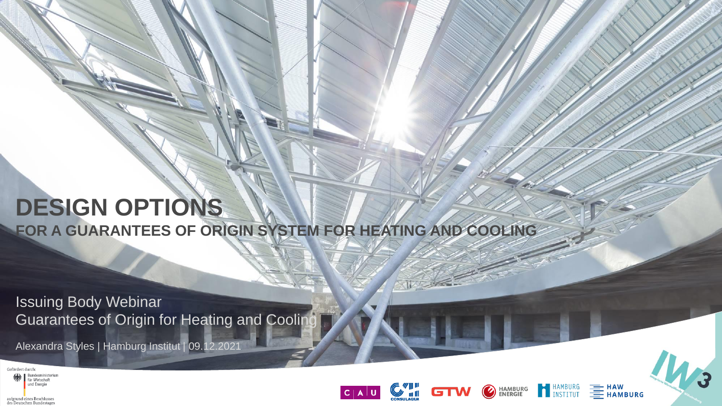# **DESIGN OPTIONS**

**FOR A GUARANTEES OF ORIGIN SYSTEM FOR HEATING AND COOLING**

Issuing Body Webinar Guarantees of Origin for Heating and Cooling

Alexandra Styles | Hamburg Institut | 09.12.2021





HAMBURG<br>
INSTITUT

**HAMBURG<br>ENERGIE** 

 $\bigcirc$ 

**EXAMPLE**<br>**EXAMPLIES**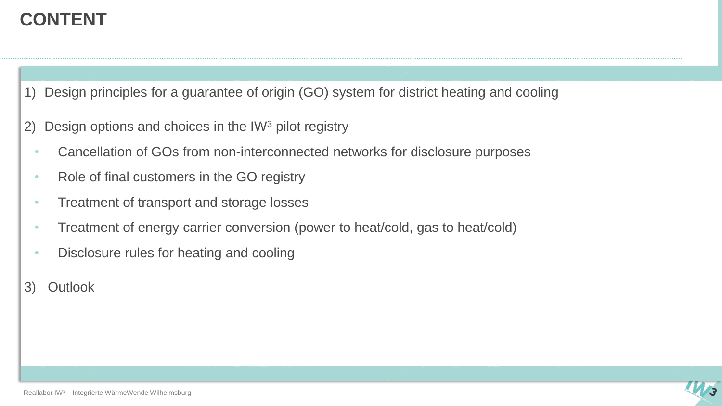### **CONTENT**

1) Design principles for a guarantee of origin (GO) system for district heating and cooling

- 2) Design options and choices in the IW<sup>3</sup> pilot registry
	- Cancellation of GOs from non-interconnected networks for disclosure purposes
	- Role of final customers in the GO registry
	- Treatment of transport and storage losses
	- Treatment of energy carrier conversion (power to heat/cold, gas to heat/cold)
	- Disclosure rules for heating and cooling
- 3) Outlook

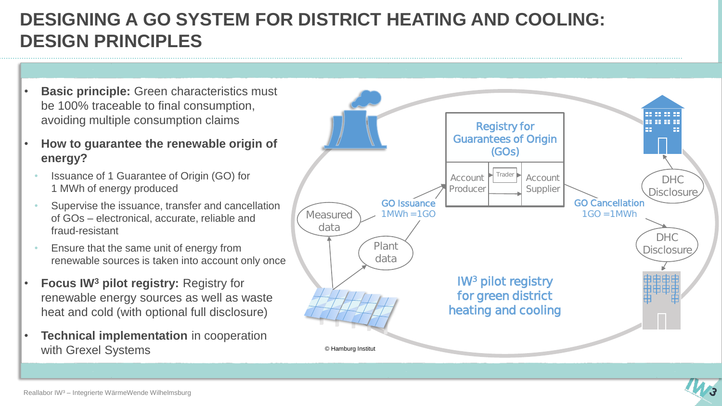### **DESIGNING A GO SYSTEM FOR DISTRICT HEATING AND COOLING: DESIGN PRINCIPLES**

- **Basic principle:** Green characteristics must be 100% traceable to final consumption, avoiding multiple consumption claims
- **How to guarantee the renewable origin of energy?**
	- Issuance of 1 Guarantee of Origin (GO) for 1 MWh of energy produced
	- Supervise the issuance, transfer and cancellation of GOs – electronical, accurate, reliable and fraud-resistant
	- Ensure that the same unit of energy from renewable sources is taken into account only once
- **Focus IW<sup>3</sup> pilot registry:** Registry for renewable energy sources as well as waste heat and cold (with optional full disclosure)
- **Technical implementation** in cooperation with Grexel Systems



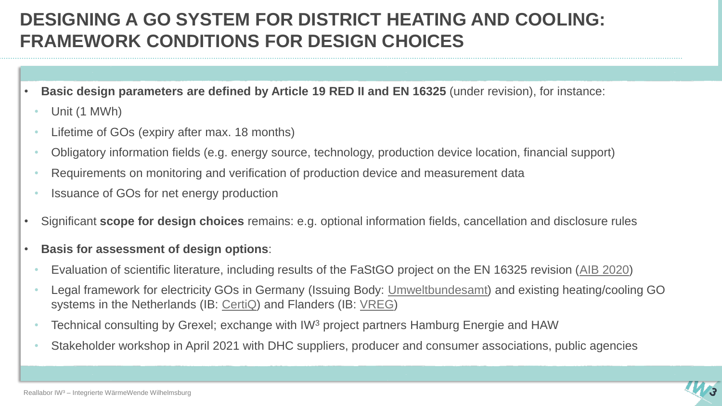### **DESIGNING A GO SYSTEM FOR DISTRICT HEATING AND COOLING: FRAMEWORK CONDITIONS FOR DESIGN CHOICES**

- **Basic design parameters are defined by Article 19 RED II and EN 16325** (under revision), for instance:
	- Unit (1 MWh)
	- Lifetime of GOs (expiry after max. 18 months)
	- Obligatory information fields (e.g. energy source, technology, production device location, financial support)
	- Requirements on monitoring and verification of production device and measurement data
	- Issuance of GOs for net energy production
- Significant **scope for design choices** remains: e.g. optional information fields, cancellation and disclosure rules
- **Basis for assessment of design options**:
	- Evaluation of scientific literature, including results of the FaStGO project on the EN 16325 revision ([AIB 2020\)](https://www.aib-net.org/news-events/aib-projects-and-consultations/fastgo)
	- Legal framework for electricity GOs in Germany (Issuing Body: [Umweltbundesamt](https://www.umweltbundesamt.de/themen/klima-energie/erneuerbare-energien/herkunftsnachweisregister-hknr)) and existing heating/cooling GO systems in the Netherlands (IB: [CertiQ](https://www.certiq.nl/guarantees-of-origin/)) and Flanders (IB: [VREG\)](https://www.vreg.be/en/disclosure-guarantees-origin)
	- Technical consulting by Grexel; exchange with IW<sup>3</sup> project partners Hamburg Energie and HAW
	- Stakeholder workshop in April 2021 with DHC suppliers, producer and consumer associations, public agencies

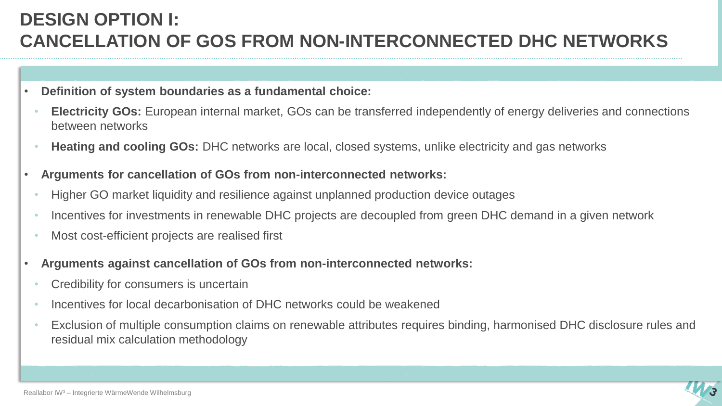### **DESIGN OPTION I: CANCELLATION OF GOS FROM NON-INTERCONNECTED DHC NETWORKS**

- **Definition of system boundaries as a fundamental choice:**
	- **Electricity GOs:** European internal market, GOs can be transferred independently of energy deliveries and connections between networks
	- **Heating and cooling GOs:** DHC networks are local, closed systems, unlike electricity and gas networks
- **Arguments for cancellation of GOs from non-interconnected networks:**
	- Higher GO market liquidity and resilience against unplanned production device outages
	- Incentives for investments in renewable DHC projects are decoupled from green DHC demand in a given network
	- Most cost-efficient projects are realised first
- **Arguments against cancellation of GOs from non-interconnected networks:**
	- Credibility for consumers is uncertain
	- Incentives for local decarbonisation of DHC networks could be weakened
	- Exclusion of multiple consumption claims on renewable attributes requires binding, harmonised DHC disclosure rules and residual mix calculation methodology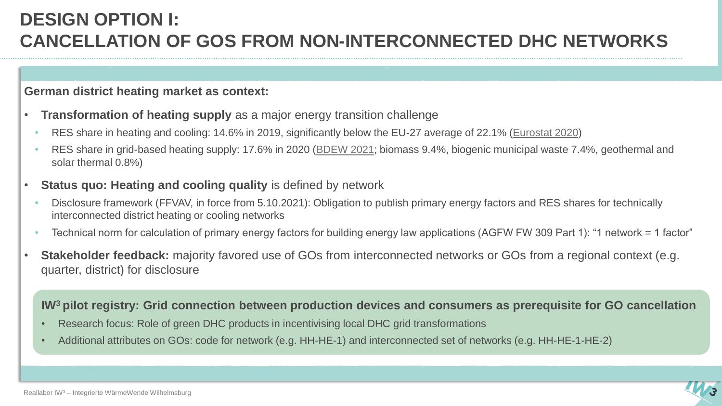### **DESIGN OPTION I: CANCELLATION OF GOS FROM NON-INTERCONNECTED DHC NETWORKS**

#### **German district heating market as context:**

- **Transformation of heating supply** as a major energy transition challenge
	- RES share in heating and cooling: 14.6% in 2019, significantly below the EU-27 average of 22.1% ([Eurostat 2020\)](https://ec.europa.eu/eurostat/de/web/products-eurostat-news/-/ddn-20201229-1)
	- RES share in grid-based heating supply: 17.6% in 2020 [\(BDEW 2021;](https://www.bdew.de/media/documents/Nettowaermeerz_D_2020_online_o_jaehrlich_Ki_18112021.pdf) biomass 9.4%, biogenic municipal waste 7.4%, geothermal and solar thermal 0.8%)
- **Status quo: Heating and cooling quality** is defined by network
	- Disclosure framework (FFVAV, in force from 5.10.2021): Obligation to publish primary energy factors and RES shares for technically interconnected district heating or cooling networks
	- Technical norm for calculation of primary energy factors for building energy law applications (AGFW FW 309 Part 1): "1 network = 1 factor"
- **Stakeholder feedback:** majority favored use of GOs from interconnected networks or GOs from a regional context (e.g. quarter, district) for disclosure

#### **IW<sup>3</sup>pilot registry: Grid connection between production devices and consumers as prerequisite for GO cancellation**

- Research focus: Role of green DHC products in incentivising local DHC grid transformations
- Additional attributes on GOs: code for network (e.g. HH-HE-1) and interconnected set of networks (e.g. HH-HE-1-HE-2)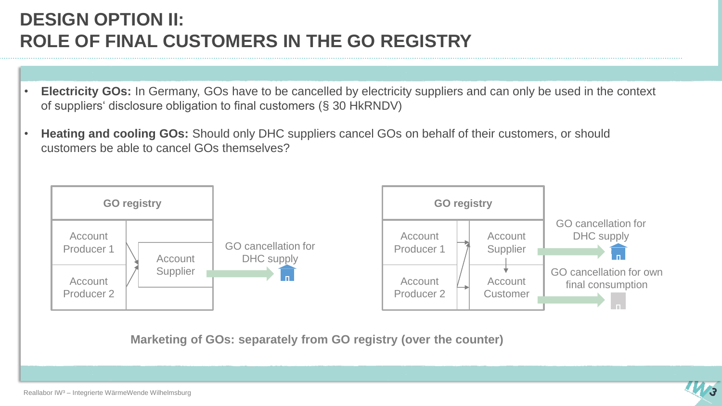### **DESIGN OPTION II: ROLE OF FINAL CUSTOMERS IN THE GO REGISTRY**

- **Electricity GOs:** In Germany, GOs have to be cancelled by electricity suppliers and can only be used in the context of suppliers' disclosure obligation to final customers (§ 30 HkRNDV)
- **Heating and cooling GOs:** Should only DHC suppliers cancel GOs on behalf of their customers, or should customers be able to cancel GOs themselves?



**Marketing of GOs: separately from GO registry (over the counter)**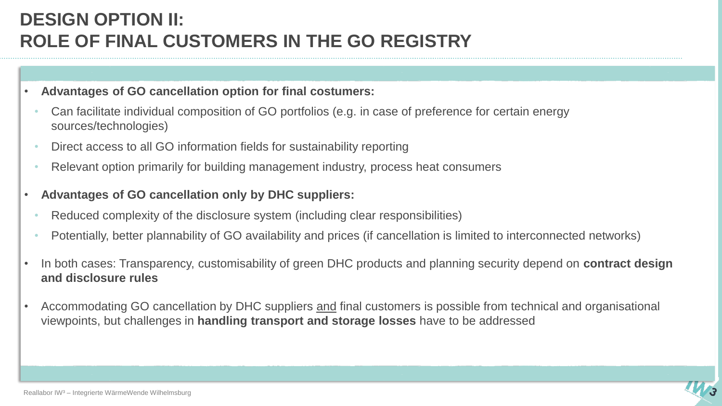### **DESIGN OPTION II: ROLE OF FINAL CUSTOMERS IN THE GO REGISTRY**

#### • **Advantages of GO cancellation option for final costumers:**

- Can facilitate individual composition of GO portfolios (e.g. in case of preference for certain energy sources/technologies)
- Direct access to all GO information fields for sustainability reporting
- Relevant option primarily for building management industry, process heat consumers
- **Advantages of GO cancellation only by DHC suppliers:** 
	- Reduced complexity of the disclosure system (including clear responsibilities)
	- Potentially, better plannability of GO availability and prices (if cancellation is limited to interconnected networks)
- In both cases: Transparency, customisability of green DHC products and planning security depend on **contract design and disclosure rules**
- Accommodating GO cancellation by DHC suppliers and final customers is possible from technical and organisational viewpoints, but challenges in **handling transport and storage losses** have to be addressed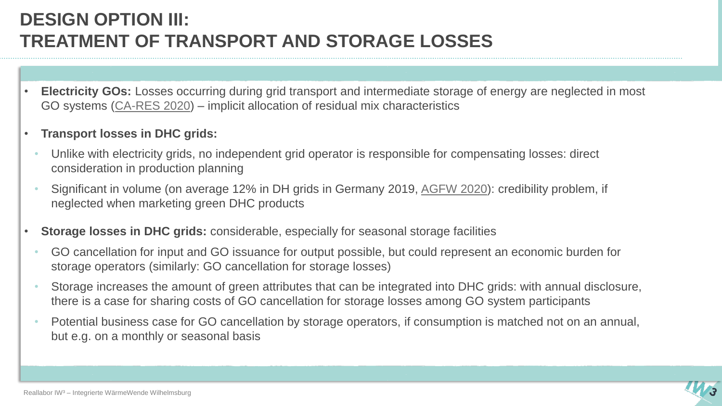## **DESIGN OPTION III: TREATMENT OF TRANSPORT AND STORAGE LOSSES**

- **Electricity GOs:** Losses occurring during grid transport and intermediate storage of energy are neglected in most GO systems ([CA-RES 2020](https://www.ca-res.eu/fileadmin/cares/PublicArea/CA-RES3FinalPublication/CARES3_Final_CT3_Summary.pdf)) – implicit allocation of residual mix characteristics
- **Transport losses in DHC grids:** 
	- Unlike with electricity grids, no independent grid operator is responsible for compensating losses: direct consideration in production planning
	- Significant in volume (on average 12% in DH grids in Germany 2019, [AGFW 2020\)](https://www.agfw.de/zahlen-und-statistiken/agfw-hauptbericht/): credibility problem, if neglected when marketing green DHC products
- **Storage losses in DHC grids:** considerable, especially for seasonal storage facilities
	- GO cancellation for input and GO issuance for output possible, but could represent an economic burden for storage operators (similarly: GO cancellation for storage losses)
	- Storage increases the amount of green attributes that can be integrated into DHC grids: with annual disclosure, there is a case for sharing costs of GO cancellation for storage losses among GO system participants
	- Potential business case for GO cancellation by storage operators, if consumption is matched not on an annual, but e.g. on a monthly or seasonal basis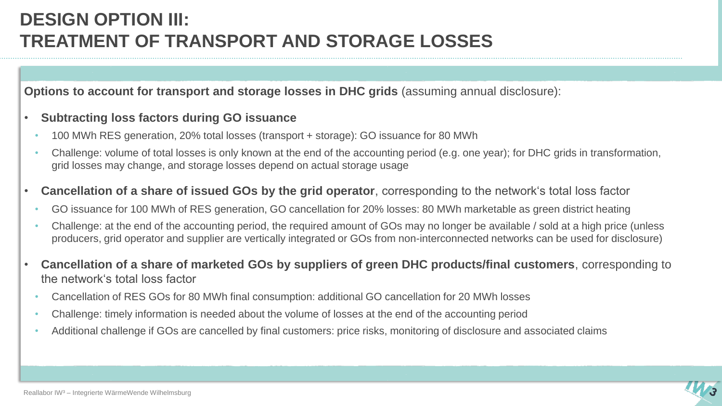### **DESIGN OPTION III: TREATMENT OF TRANSPORT AND STORAGE LOSSES**

**Options to account for transport and storage losses in DHC grids** (assuming annual disclosure):

#### • **Subtracting loss factors during GO issuance**

- 100 MWh RES generation, 20% total losses (transport + storage): GO issuance for 80 MWh
- Challenge: volume of total losses is only known at the end of the accounting period (e.g. one year); for DHC grids in transformation, grid losses may change, and storage losses depend on actual storage usage
- **Cancellation of a share of issued GOs by the grid operator**, corresponding to the network's total loss factor
	- GO issuance for 100 MWh of RES generation, GO cancellation for 20% losses: 80 MWh marketable as green district heating
	- Challenge: at the end of the accounting period, the required amount of GOs may no longer be available / sold at a high price (unless producers, grid operator and supplier are vertically integrated or GOs from non-interconnected networks can be used for disclosure)
- **Cancellation of a share of marketed GOs by suppliers of green DHC products/final customers**, corresponding to the network's total loss factor
	- Cancellation of RES GOs for 80 MWh final consumption: additional GO cancellation for 20 MWh losses
	- Challenge: timely information is needed about the volume of losses at the end of the accounting period
	- Additional challenge if GOs are cancelled by final customers: price risks, monitoring of disclosure and associated claims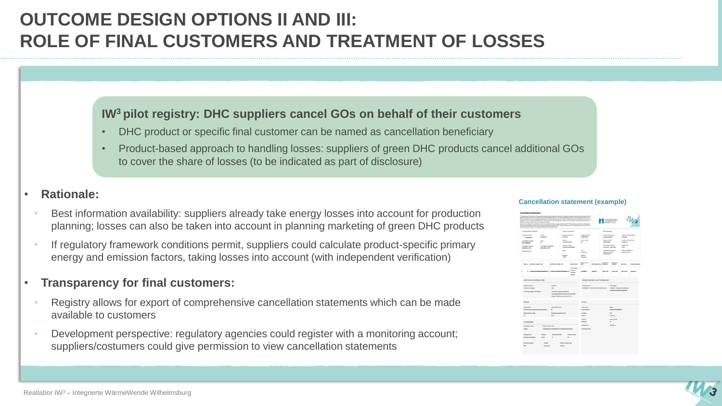### **OUTCOME DESIGN OPTIONS II AND III: ROLE OF FINAL CUSTOMERS AND TREATMENT OF LOSSES**

#### **IW<sup>3</sup>pilot registry: DHC suppliers cancel GOs on behalf of their customers**

- DHC product or specific final customer can be named as cancellation beneficiary
- Product-based approach to handling losses: suppliers of green DHC products cancel additional GOs to cover the share of losses (to be indicated as part of disclosure)

#### • **Rationale:**

- Best information availability: suppliers already take energy losses into account for production planning; losses can also be taken into account in planning marketing of green DHC products
- If regulatory framework conditions permit, suppliers could calculate product-specific primary energy and emission factors, taking losses into account (with independent verification)

#### • **Transparency for final customers:**

- Registry allows for export of comprehensive cancellation statements which can be made available to customers
- Development perspective: regulatory agencies could register with a monitoring account; suppliers/costumers could give permission to view cancellation statements

#### **Cancellation statement (example)**

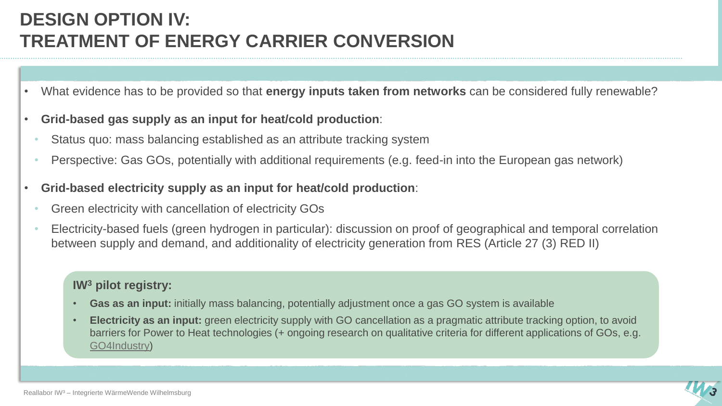## **DESIGN OPTION IV: TREATMENT OF ENERGY CARRIER CONVERSION**

- What evidence has to be provided so that **energy inputs taken from networks** can be considered fully renewable?
- **Grid-based gas supply as an input for heat/cold production**:
	- Status quo: mass balancing established as an attribute tracking system
	- Perspective: Gas GOs, potentially with additional requirements (e.g. feed-in into the European gas network)
- **Grid-based electricity supply as an input for heat/cold production**:
	- Green electricity with cancellation of electricity GOs
	- Electricity-based fuels (green hydrogen in particular): discussion on proof of geographical and temporal correlation between supply and demand, and additionality of electricity generation from RES (Article 27 (3) RED II)

- **Gas as an input:** initially mass balancing, potentially adjustment once a gas GO system is available
- **Electricity as an input:** green electricity supply with GO cancellation as a pragmatic attribute tracking option, to avoid barriers for Power to Heat technologies (+ ongoing research on qualitative criteria for different applications of GOs, e.g. [GO4Industry\)](https://go4industry.com/)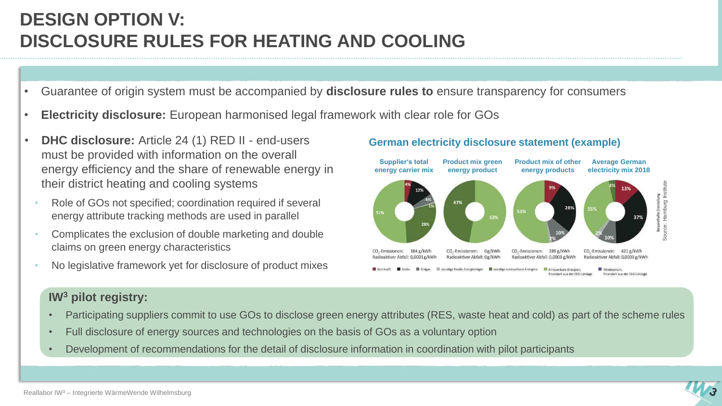## **DESIGN OPTION V: DISCLOSURE RULES FOR HEATING AND COOLING**

- Guarantee of origin system must be accompanied by **disclosure rules to** ensure transparency for consumers
- **Electricity disclosure:** European harmonised legal framework with clear role for GOs
- **DHC disclosure:** Article 24 (1) RED II end-users must be provided with information on the overall energy efficiency and the share of renewable energy in their district heating and cooling systems
	- Role of GOs not specified; coordination required if several energy attribute tracking methods are used in parallel
	- Complicates the exclusion of double marketing and double claims on green energy characteristics
	- No legislative framework yet for disclosure of product mixes

#### **German electricity disclosure statement (example)**



- Participating suppliers commit to use GOs to disclose green energy attributes (RES, waste heat and cold) as part of the scheme rules
- Full disclosure of energy sources and technologies on the basis of GOs as a voluntary option
- Development of recommendations for the detail of disclosure information in coordination with pilot participants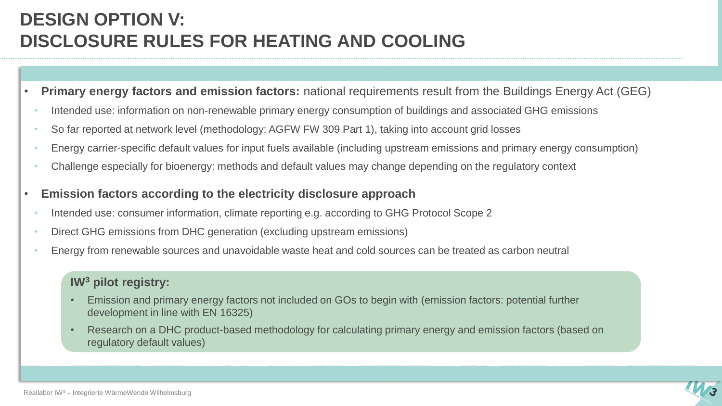## **DESIGN OPTION V: DISCLOSURE RULES FOR HEATING AND COOLING**

- **Primary energy factors and emission factors:** national requirements result from the Buildings Energy Act (GEG)
	- Intended use: information on non-renewable primary energy consumption of buildings and associated GHG emissions
	- So far reported at network level (methodology: AGFW FW 309 Part 1), taking into account grid losses
	- Energy carrier-specific default values for input fuels available (including upstream emissions and primary energy consumption)
	- Challenge especially for bioenergy: methods and default values may change depending on the regulatory context
- **Emission factors according to the electricity disclosure approach**
	- Intended use: consumer information, climate reporting e.g. according to GHG Protocol Scope 2
	- Direct GHG emissions from DHC generation (excluding upstream emissions)
	- Energy from renewable sources and unavoidable waste heat and cold sources can be treated as carbon neutral

- Emission and primary energy factors not included on GOs to begin with (emission factors: potential further development in line with EN 16325)
- Research on a DHC product-based methodology for calculating primary energy and emission factors (based on regulatory default values)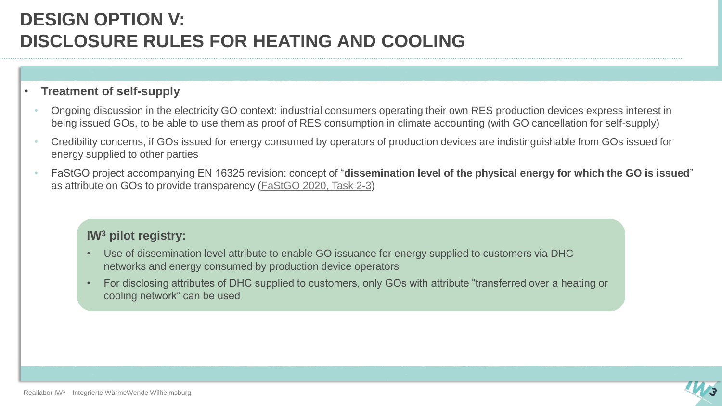### **DESIGN OPTION V: DISCLOSURE RULES FOR HEATING AND COOLING**

#### • **Treatment of self-supply**

- Ongoing discussion in the electricity GO context: industrial consumers operating their own RES production devices express interest in being issued GOs, to be able to use them as proof of RES consumption in climate accounting (with GO cancellation for self-supply)
- Credibility concerns, if GOs issued for energy consumed by operators of production devices are indistinguishable from GOs issued for energy supplied to other parties
- FaStGO project accompanying EN 16325 revision: concept of "**dissemination level of the physical energy for which the GO is issued**" as attribute on GOs to provide transparency [\(FaStGO 2020, Task 2-3\)](https://www.aib-net.org/sites/default/files/assets/news-events/AIB%20Project-Consult/FaStGO/AIB-2020-FASTGO-02%20task%202%20part3%20Takeways%20from%20consultation%20of%20text%20proposals%20for%20a%20revised%20EN16325.pdf)

- Use of dissemination level attribute to enable GO issuance for energy supplied to customers via DHC networks and energy consumed by production device operators
- For disclosing attributes of DHC supplied to customers, only GOs with attribute "transferred over a heating or cooling network" can be used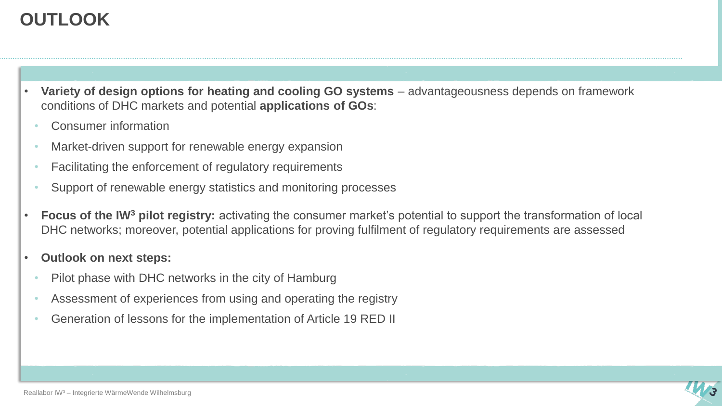### **OUTLOOK**

- **Variety of design options for heating and cooling GO systems** advantageousness depends on framework conditions of DHC markets and potential **applications of GOs**:
	- Consumer information
	- Market-driven support for renewable energy expansion
	- Facilitating the enforcement of regulatory requirements
	- Support of renewable energy statistics and monitoring processes
- **Focus of the IW<sup>3</sup> pilot registry:** activating the consumer market's potential to support the transformation of local DHC networks; moreover, potential applications for proving fulfilment of regulatory requirements are assessed
- **Outlook on next steps:** 
	- Pilot phase with DHC networks in the city of Hamburg
	- Assessment of experiences from using and operating the registry
	- Generation of lessons for the implementation of Article 19 RED II